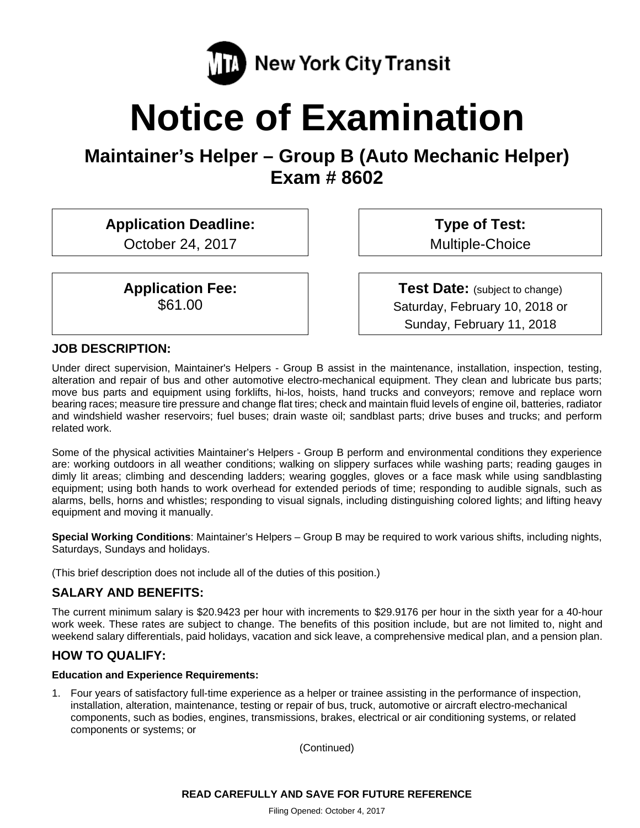

# **Notice of Examination**

**Maintainer's Helper – Group B (Auto Mechanic Helper) Exam # 8602** 

**Application Deadline:** 

October 24, 2017

**Application Fee:**  \$61.00

**Type of Test:**  Multiple-Choice

**Test Date:** (subject to change) Saturday, February 10, 2018 or Sunday, February 11, 2018

## **JOB DESCRIPTION:**

Under direct supervision, Maintainer's Helpers - Group B assist in the maintenance, installation, inspection, testing, alteration and repair of bus and other automotive electro-mechanical equipment. They clean and lubricate bus parts; move bus parts and equipment using forklifts, hi-los, hoists, hand trucks and conveyors; remove and replace worn bearing races; measure tire pressure and change flat tires; check and maintain fluid levels of engine oil, batteries, radiator and windshield washer reservoirs; fuel buses; drain waste oil; sandblast parts; drive buses and trucks; and perform related work.

Some of the physical activities Maintainer's Helpers - Group B perform and environmental conditions they experience are: working outdoors in all weather conditions; walking on slippery surfaces while washing parts; reading gauges in dimly lit areas; climbing and descending ladders; wearing goggles, gloves or a face mask while using sandblasting equipment; using both hands to work overhead for extended periods of time; responding to audible signals, such as alarms, bells, horns and whistles; responding to visual signals, including distinguishing colored lights; and lifting heavy equipment and moving it manually.

**Special Working Conditions**: Maintainer's Helpers – Group B may be required to work various shifts, including nights, Saturdays, Sundays and holidays.

(This brief description does not include all of the duties of this position.)

# **SALARY AND BENEFITS:**

The current minimum salary is \$20.9423 per hour with increments to \$29.9176 per hour in the sixth year for a 40-hour work week. These rates are subject to change. The benefits of this position include, but are not limited to, night and weekend salary differentials, paid holidays, vacation and sick leave, a comprehensive medical plan, and a pension plan.

# **HOW TO QUALIFY:**

#### **Education and Experience Requirements:**

1. Four years of satisfactory full-time experience as a helper or trainee assisting in the performance of inspection, installation, alteration, maintenance, testing or repair of bus, truck, automotive or aircraft electro-mechanical components, such as bodies, engines, transmissions, brakes, electrical or air conditioning systems, or related components or systems; or

(Continued)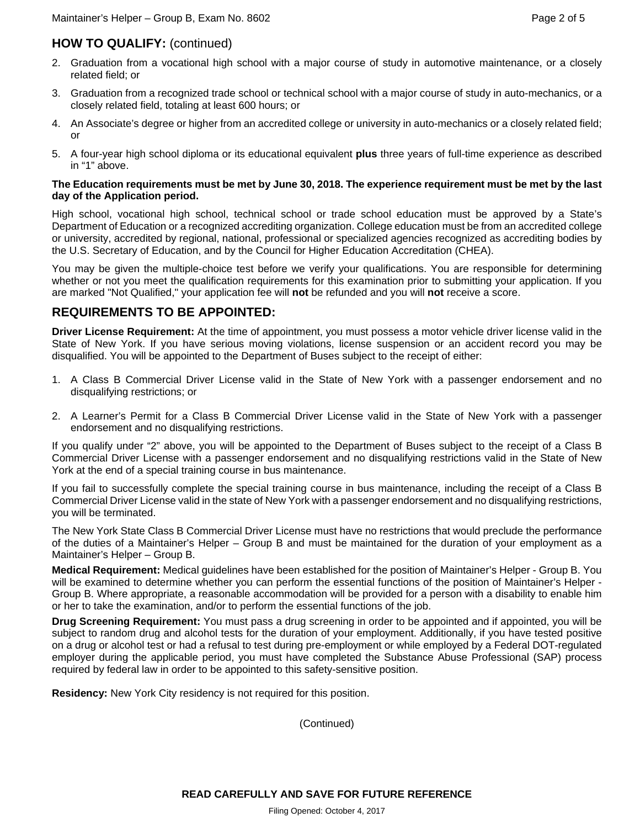# **HOW TO QUALIFY:** (continued)

- 2. Graduation from a vocational high school with a major course of study in automotive maintenance, or a closely related field; or
- 3. Graduation from a recognized trade school or technical school with a major course of study in auto-mechanics, or a closely related field, totaling at least 600 hours; or
- 4. An Associate's degree or higher from an accredited college or university in auto-mechanics or a closely related field; or
- 5. A four-year high school diploma or its educational equivalent **plus** three years of full-time experience as described in "1" above.

#### **The Education requirements must be met by June 30, 2018. The experience requirement must be met by the last day of the Application period.**

High school, vocational high school, technical school or trade school education must be approved by a State's Department of Education or a recognized accrediting organization. College education must be from an accredited college or university, accredited by regional, national, professional or specialized agencies recognized as accrediting bodies by the U.S. Secretary of Education, and by the Council for Higher Education Accreditation (CHEA).

You may be given the multiple-choice test before we verify your qualifications. You are responsible for determining whether or not you meet the qualification requirements for this examination prior to submitting your application. If you are marked "Not Qualified," your application fee will **not** be refunded and you will **not** receive a score.

## **REQUIREMENTS TO BE APPOINTED:**

**Driver License Requirement:** At the time of appointment, you must possess a motor vehicle driver license valid in the State of New York. If you have serious moving violations, license suspension or an accident record you may be disqualified. You will be appointed to the Department of Buses subject to the receipt of either:

- 1. A Class B Commercial Driver License valid in the State of New York with a passenger endorsement and no disqualifying restrictions; or
- 2. A Learner's Permit for a Class B Commercial Driver License valid in the State of New York with a passenger endorsement and no disqualifying restrictions.

If you qualify under "2" above, you will be appointed to the Department of Buses subject to the receipt of a Class B Commercial Driver License with a passenger endorsement and no disqualifying restrictions valid in the State of New York at the end of a special training course in bus maintenance.

If you fail to successfully complete the special training course in bus maintenance, including the receipt of a Class B Commercial Driver License valid in the state of New York with a passenger endorsement and no disqualifying restrictions, you will be terminated.

The New York State Class B Commercial Driver License must have no restrictions that would preclude the performance of the duties of a Maintainer's Helper – Group B and must be maintained for the duration of your employment as a Maintainer's Helper – Group B.

**Medical Requirement:** Medical guidelines have been established for the position of Maintainer's Helper - Group B. You will be examined to determine whether you can perform the essential functions of the position of Maintainer's Helper - Group B. Where appropriate, a reasonable accommodation will be provided for a person with a disability to enable him or her to take the examination, and/or to perform the essential functions of the job.

**Drug Screening Requirement:** You must pass a drug screening in order to be appointed and if appointed, you will be subject to random drug and alcohol tests for the duration of your employment. Additionally, if you have tested positive on a drug or alcohol test or had a refusal to test during pre-employment or while employed by a Federal DOT-regulated employer during the applicable period, you must have completed the Substance Abuse Professional (SAP) process required by federal law in order to be appointed to this safety-sensitive position.

**Residency:** New York City residency is not required for this position.

(Continued)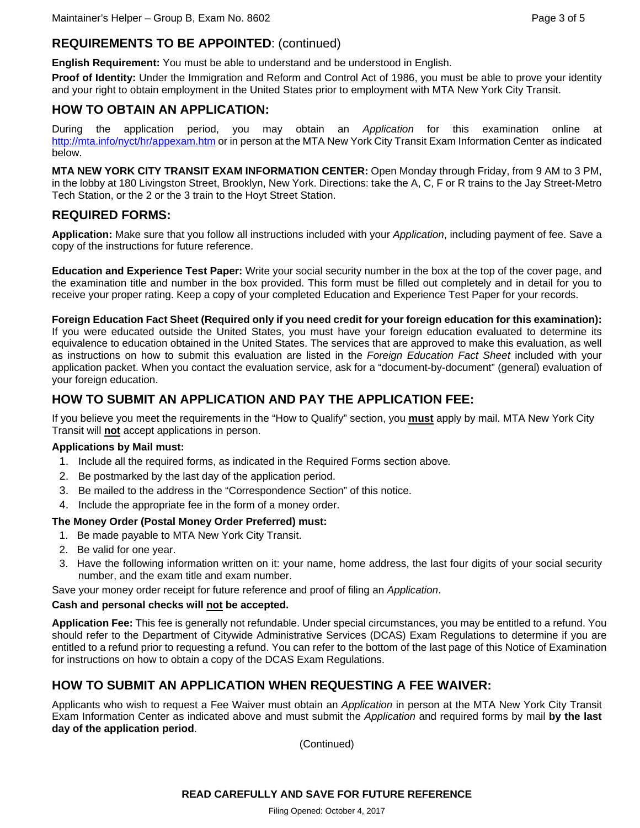# **REQUIREMENTS TO BE APPOINTED**: (continued)

**English Requirement:** You must be able to understand and be understood in English.

**Proof of Identity:** Under the Immigration and Reform and Control Act of 1986, you must be able to prove your identity and your right to obtain employment in the United States prior to employment with MTA New York City Transit.

# **HOW TO OBTAIN AN APPLICATION:**

During the application period, you may obtain an *Application* for this examination online at http://mta.info/nyct/hr/appexam.htm or in person at the MTA New York City Transit Exam Information Center as indicated below.

**MTA NEW YORK CITY TRANSIT EXAM INFORMATION CENTER:** Open Monday through Friday, from 9 AM to 3 PM, in the lobby at 180 Livingston Street, Brooklyn, New York. Directions: take the A, C, F or R trains to the Jay Street-Metro Tech Station, or the 2 or the 3 train to the Hoyt Street Station.

# **REQUIRED FORMS:**

**Application:** Make sure that you follow all instructions included with your *Application*, including payment of fee. Save a copy of the instructions for future reference.

**Education and Experience Test Paper:** Write your social security number in the box at the top of the cover page, and the examination title and number in the box provided. This form must be filled out completely and in detail for you to receive your proper rating. Keep a copy of your completed Education and Experience Test Paper for your records.

#### **Foreign Education Fact Sheet (Required only if you need credit for your foreign education for this examination):**

If you were educated outside the United States, you must have your foreign education evaluated to determine its equivalence to education obtained in the United States. The services that are approved to make this evaluation, as well as instructions on how to submit this evaluation are listed in the *Foreign Education Fact Sheet* included with your application packet. When you contact the evaluation service, ask for a "document-by-document" (general) evaluation of your foreign education.

# **HOW TO SUBMIT AN APPLICATION AND PAY THE APPLICATION FEE:**

If you believe you meet the requirements in the "How to Qualify" section, you **must** apply by mail. MTA New York City Transit will **not** accept applications in person.

#### **Applications by Mail must:**

- 1. Include all the required forms, as indicated in the Required Forms section above*.*
- 2. Be postmarked by the last day of the application period.
- 3. Be mailed to the address in the "Correspondence Section" of this notice.
- 4. Include the appropriate fee in the form of a money order.

#### **The Money Order (Postal Money Order Preferred) must:**

- 1. Be made payable to MTA New York City Transit.
- 2. Be valid for one year.
- 3. Have the following information written on it: your name, home address, the last four digits of your social security number, and the exam title and exam number.

Save your money order receipt for future reference and proof of filing an *Application*.

#### **Cash and personal checks will not be accepted.**

**Application Fee:** This fee is generally not refundable. Under special circumstances, you may be entitled to a refund. You should refer to the Department of Citywide Administrative Services (DCAS) Exam Regulations to determine if you are entitled to a refund prior to requesting a refund. You can refer to the bottom of the last page of this Notice of Examination for instructions on how to obtain a copy of the DCAS Exam Regulations.

# **HOW TO SUBMIT AN APPLICATION WHEN REQUESTING A FEE WAIVER:**

Applicants who wish to request a Fee Waiver must obtain an *Application* in person at the MTA New York City Transit Exam Information Center as indicated above and must submit the *Application* and required forms by mail **by the last day of the application period**.

(Continued)

#### **READ CAREFULLY AND SAVE FOR FUTURE REFERENCE**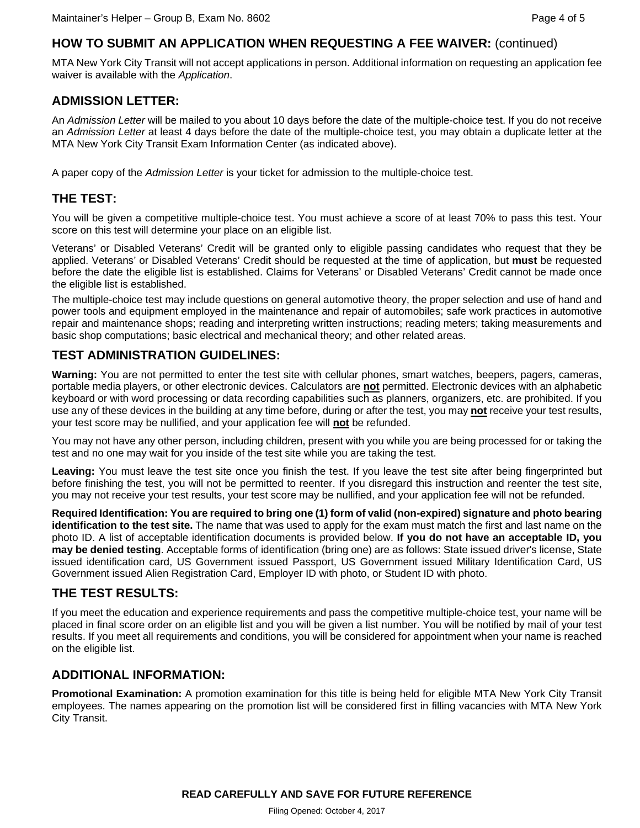# **HOW TO SUBMIT AN APPLICATION WHEN REQUESTING A FEE WAIVER:** (continued)

MTA New York City Transit will not accept applications in person. Additional information on requesting an application fee waiver is available with the *Application*.

#### **ADMISSION LETTER:**

An *Admission Letter* will be mailed to you about 10 days before the date of the multiple-choice test. If you do not receive an *Admission Letter* at least 4 days before the date of the multiple-choice test, you may obtain a duplicate letter at the MTA New York City Transit Exam Information Center (as indicated above).

A paper copy of the *Admission Letter* is your ticket for admission to the multiple-choice test.

### **THE TEST:**

You will be given a competitive multiple-choice test. You must achieve a score of at least 70% to pass this test. Your score on this test will determine your place on an eligible list.

Veterans' or Disabled Veterans' Credit will be granted only to eligible passing candidates who request that they be applied. Veterans' or Disabled Veterans' Credit should be requested at the time of application, but **must** be requested before the date the eligible list is established. Claims for Veterans' or Disabled Veterans' Credit cannot be made once the eligible list is established.

The multiple-choice test may include questions on general automotive theory, the proper selection and use of hand and power tools and equipment employed in the maintenance and repair of automobiles; safe work practices in automotive repair and maintenance shops; reading and interpreting written instructions; reading meters; taking measurements and basic shop computations; basic electrical and mechanical theory; and other related areas.

#### **TEST ADMINISTRATION GUIDELINES:**

**Warning:** You are not permitted to enter the test site with cellular phones, smart watches, beepers, pagers, cameras, portable media players, or other electronic devices. Calculators are **not** permitted. Electronic devices with an alphabetic keyboard or with word processing or data recording capabilities such as planners, organizers, etc. are prohibited. If you use any of these devices in the building at any time before, during or after the test, you may **not** receive your test results, your test score may be nullified, and your application fee will **not** be refunded.

You may not have any other person, including children, present with you while you are being processed for or taking the test and no one may wait for you inside of the test site while you are taking the test.

**Leaving:** You must leave the test site once you finish the test. If you leave the test site after being fingerprinted but before finishing the test, you will not be permitted to reenter. If you disregard this instruction and reenter the test site, you may not receive your test results, your test score may be nullified, and your application fee will not be refunded.

**Required Identification: You are required to bring one (1) form of valid (non-expired) signature and photo bearing identification to the test site.** The name that was used to apply for the exam must match the first and last name on the photo ID. A list of acceptable identification documents is provided below. **If you do not have an acceptable ID, you may be denied testing**. Acceptable forms of identification (bring one) are as follows: State issued driver's license, State issued identification card, US Government issued Passport, US Government issued Military Identification Card, US Government issued Alien Registration Card, Employer ID with photo, or Student ID with photo.

#### **THE TEST RESULTS:**

If you meet the education and experience requirements and pass the competitive multiple-choice test, your name will be placed in final score order on an eligible list and you will be given a list number. You will be notified by mail of your test results. If you meet all requirements and conditions, you will be considered for appointment when your name is reached on the eligible list.

#### **ADDITIONAL INFORMATION:**

**Promotional Examination:** A promotion examination for this title is being held for eligible MTA New York City Transit employees. The names appearing on the promotion list will be considered first in filling vacancies with MTA New York City Transit.